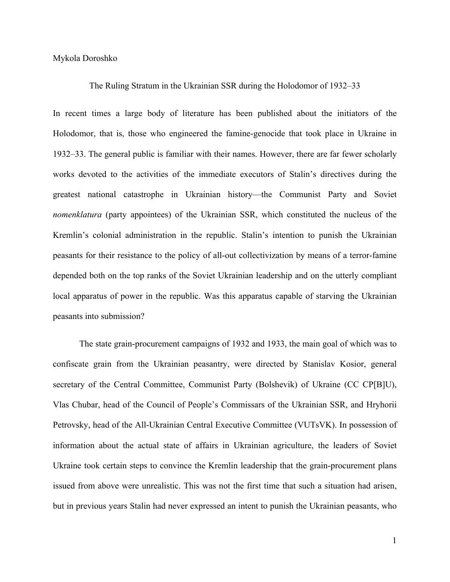Mykola Doroshko

## The Ruling Stratum in the Ukrainian SSR during the Holodomor of 1932–33

In recent times a large body of literature has been published about the initiators of the Holodomor, that is, those who engineered the famine-genocide that took place in Ukraine in 1932–33. The general public is familiar with their names. However, there are far fewer scholarly works devoted to the activities of the immediate executors of Stalin's directives during the greatest national catastrophe in Ukrainian history—the Communist Party and Soviet *nomenklatura* (party appointees) of the Ukrainian SSR, which constituted the nucleus of the Kremlin's colonial administration in the republic. Stalin's intention to punish the Ukrainian peasants for their resistance to the policy of all-out collectivization by means of a terror-famine depended both on the top ranks of the Soviet Ukrainian leadership and on the utterly compliant local apparatus of power in the republic. Was this apparatus capable of starving the Ukrainian peasants into submission?

The state grain-procurement campaigns of 1932 and 1933, the main goal of which was to confiscate grain from the Ukrainian peasantry, were directed by Stanislav Kosior, general secretary of the Central Committee, Communist Party (Bolshevik) of Ukraine (CC CP[B]U), Vlas Chubar, head of the Council of People's Commissars of the Ukrainian SSR, and Hryhorii Petrovsky, head of the All-Ukrainian Central Executive Committee (VUTsVK). In possession of information about the actual state of affairs in Ukrainian agriculture, the leaders of Soviet Ukraine took certain steps to convince the Kremlin leadership that the grain-procurement plans issued from above were unrealistic. This was not the first time that such a situation had arisen, but in previous years Stalin had never expressed an intent to punish the Ukrainian peasants, who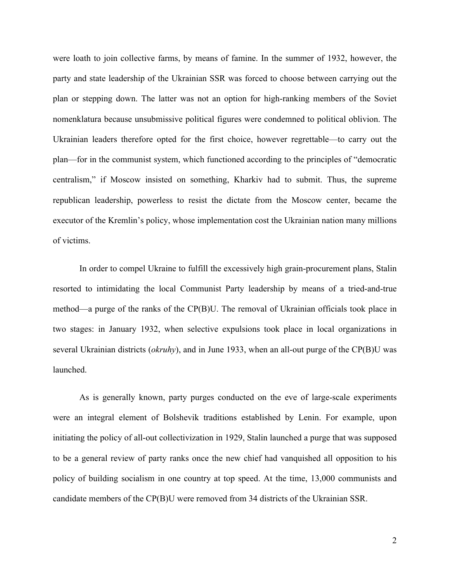were loath to join collective farms, by means of famine. In the summer of 1932, however, the party and state leadership of the Ukrainian SSR was forced to choose between carrying out the plan or stepping down. The latter was not an option for high-ranking members of the Soviet nomenklatura because unsubmissive political figures were condemned to political oblivion. The Ukrainian leaders therefore opted for the first choice, however regrettable—to carry out the plan—for in the communist system, which functioned according to the principles of "democratic centralism," if Moscow insisted on something, Kharkiv had to submit. Thus, the supreme republican leadership, powerless to resist the dictate from the Moscow center, became the executor of the Kremlin's policy, whose implementation cost the Ukrainian nation many millions of victims.

In order to compel Ukraine to fulfill the excessively high grain-procurement plans, Stalin resorted to intimidating the local Communist Party leadership by means of a tried-and-true method—a purge of the ranks of the CP(B)U. The removal of Ukrainian officials took place in two stages: in January 1932, when selective expulsions took place in local organizations in several Ukrainian districts (*okruhy*), and in June 1933, when an all-out purge of the CP(B)U was launched.

As is generally known, party purges conducted on the eve of large-scale experiments were an integral element of Bolshevik traditions established by Lenin. For example, upon initiating the policy of all-out collectivization in 1929, Stalin launched a purge that was supposed to be a general review of party ranks once the new chief had vanquished all opposition to his policy of building socialism in one country at top speed. At the time, 13,000 communists and candidate members of the CP(B)U were removed from 34 districts of the Ukrainian SSR.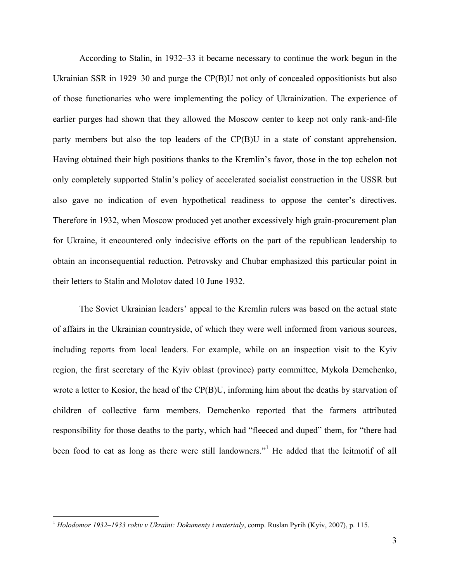According to Stalin, in 1932–33 it became necessary to continue the work begun in the Ukrainian SSR in 1929–30 and purge the CP(B)U not only of concealed oppositionists but also of those functionaries who were implementing the policy of Ukrainization. The experience of earlier purges had shown that they allowed the Moscow center to keep not only rank-and-file party members but also the top leaders of the CP(B)U in a state of constant apprehension. Having obtained their high positions thanks to the Kremlin's favor, those in the top echelon not only completely supported Stalin's policy of accelerated socialist construction in the USSR but also gave no indication of even hypothetical readiness to oppose the center's directives. Therefore in 1932, when Moscow produced yet another excessively high grain-procurement plan for Ukraine, it encountered only indecisive efforts on the part of the republican leadership to obtain an inconsequential reduction. Petrovsky and Chubar emphasized this particular point in their letters to Stalin and Molotov dated 10 June 1932.

The Soviet Ukrainian leaders' appeal to the Kremlin rulers was based on the actual state of affairs in the Ukrainian countryside, of which they were well informed from various sources, including reports from local leaders. For example, while on an inspection visit to the Kyiv region, the first secretary of the Kyiv oblast (province) party committee, Mykola Demchenko, wrote a letter to Kosior, the head of the CP(B)U, informing him about the deaths by starvation of children of collective farm members. Demchenko reported that the farmers attributed responsibility for those deaths to the party, which had "fleeced and duped" them, for "there had been food to eat as long as there were still landowners."<sup>1</sup> He added that the leitmotif of all

 <sup>1</sup> *Holodomor 1932–1933 rokiv v Ukraïni: Dokumenty i materialy*, comp. Ruslan Pyrih (Kyiv, 2007), p. 115.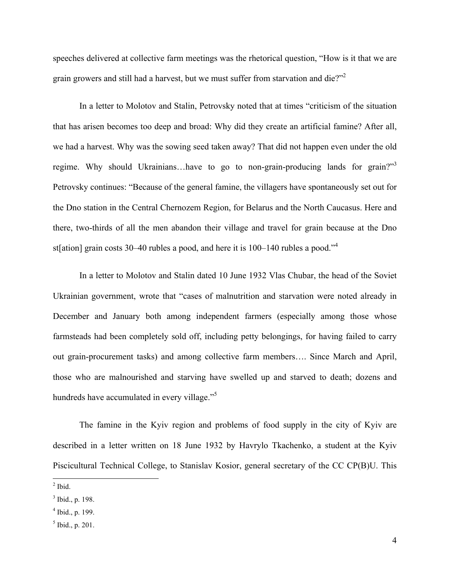speeches delivered at collective farm meetings was the rhetorical question, "How is it that we are grain growers and still had a harvest, but we must suffer from starvation and die?"<sup>2</sup>

In a letter to Molotov and Stalin, Petrovsky noted that at times "criticism of the situation that has arisen becomes too deep and broad: Why did they create an artificial famine? After all, we had a harvest. Why was the sowing seed taken away? That did not happen even under the old regime. Why should Ukrainians...have to go to non-grain-producing lands for grain?"<sup>3</sup> Petrovsky continues: "Because of the general famine, the villagers have spontaneously set out for the Dno station in the Central Chernozem Region, for Belarus and the North Caucasus. Here and there, two-thirds of all the men abandon their village and travel for grain because at the Dno st[ation] grain costs 30–40 rubles a pood, and here it is  $100-140$  rubles a pood.<sup>34</sup>

In a letter to Molotov and Stalin dated 10 June 1932 Vlas Chubar, the head of the Soviet Ukrainian government, wrote that "cases of malnutrition and starvation were noted already in December and January both among independent farmers (especially among those whose farmsteads had been completely sold off, including petty belongings, for having failed to carry out grain-procurement tasks) and among collective farm members…. Since March and April, those who are malnourished and starving have swelled up and starved to death; dozens and hundreds have accumulated in every village."<sup>5</sup>

The famine in the Kyiv region and problems of food supply in the city of Kyiv are described in a letter written on 18 June 1932 by Havrylo Tkachenko, a student at the Kyiv Piscicultural Technical College, to Stanislav Kosior, general secretary of the CC CP(B)U. This

 $<sup>2</sup>$  Ibid.</sup>

 $3$  Ibid., p. 198.

 $4$  Ibid., p. 199.

 $<sup>5</sup>$  Ibid., p. 201.</sup>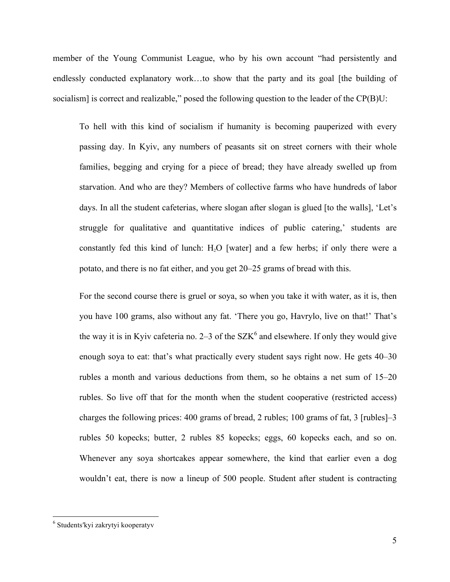member of the Young Communist League, who by his own account "had persistently and endlessly conducted explanatory work…to show that the party and its goal [the building of socialism] is correct and realizable," posed the following question to the leader of the CP(B)U:

To hell with this kind of socialism if humanity is becoming pauperized with every passing day. In Kyiv, any numbers of peasants sit on street corners with their whole families, begging and crying for a piece of bread; they have already swelled up from starvation. And who are they? Members of collective farms who have hundreds of labor days. In all the student cafeterias, where slogan after slogan is glued [to the walls], 'Let's struggle for qualitative and quantitative indices of public catering,' students are constantly fed this kind of lunch:  $H<sub>2</sub>O$  [water] and a few herbs; if only there were a potato, and there is no fat either, and you get 20–25 grams of bread with this.

For the second course there is gruel or soya, so when you take it with water, as it is, then you have 100 grams, also without any fat. 'There you go, Havrylo, live on that!' That's the way it is in Kyiv cafeteria no. 2–3 of the  $SZK<sup>6</sup>$  and elsewhere. If only they would give enough soya to eat: that's what practically every student says right now. He gets 40–30 rubles a month and various deductions from them, so he obtains a net sum of 15–20 rubles. So live off that for the month when the student cooperative (restricted access) charges the following prices: 400 grams of bread, 2 rubles; 100 grams of fat, 3 [rubles]–3 rubles 50 kopecks; butter, 2 rubles 85 kopecks; eggs, 60 kopecks each, and so on. Whenever any soya shortcakes appear somewhere, the kind that earlier even a dog wouldn't eat, there is now a lineup of 500 people. Student after student is contracting

<sup>&</sup>lt;sup>6</sup> Students'kyi zakrytyi kooperatyv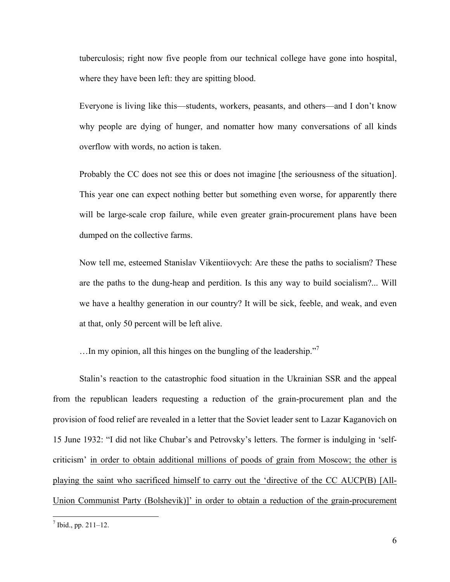tuberculosis; right now five people from our technical college have gone into hospital, where they have been left: they are spitting blood.

Everyone is living like this—students, workers, peasants, and others—and I don't know why people are dying of hunger, and nomatter how many conversations of all kinds overflow with words, no action is taken.

Probably the CC does not see this or does not imagine [the seriousness of the situation]. This year one can expect nothing better but something even worse, for apparently there will be large-scale crop failure, while even greater grain-procurement plans have been dumped on the collective farms.

Now tell me, esteemed Stanislav Vikentiiovych: Are these the paths to socialism? These are the paths to the dung-heap and perdition. Is this any way to build socialism?... Will we have a healthy generation in our country? It will be sick, feeble, and weak, and even at that, only 50 percent will be left alive.

...In my opinion, all this hinges on the bungling of the leadership."<sup>7</sup>

Stalin's reaction to the catastrophic food situation in the Ukrainian SSR and the appeal from the republican leaders requesting a reduction of the grain-procurement plan and the provision of food relief are revealed in a letter that the Soviet leader sent to Lazar Kaganovich on 15 June 1932: "I did not like Chubar's and Petrovsky's letters. The former is indulging in 'selfcriticism' in order to obtain additional millions of poods of grain from Moscow; the other is playing the saint who sacrificed himself to carry out the 'directive of the CC AUCP(B) [All-Union Communist Party (Bolshevik)]' in order to obtain a reduction of the grain-procurement

 $^7$  Ibid., pp. 211–12.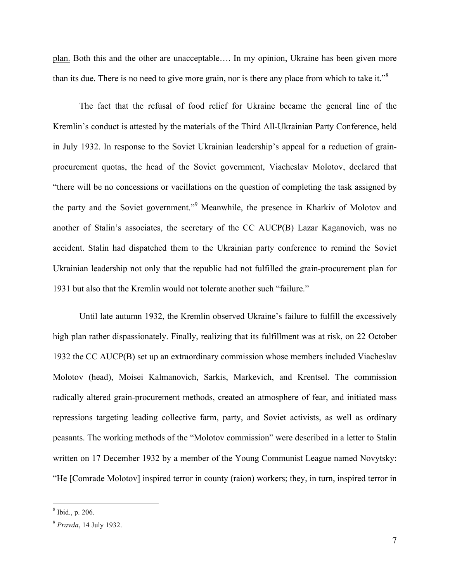plan. Both this and the other are unacceptable…. In my opinion, Ukraine has been given more than its due. There is no need to give more grain, nor is there any place from which to take it."<sup>8</sup>

The fact that the refusal of food relief for Ukraine became the general line of the Kremlin's conduct is attested by the materials of the Third All-Ukrainian Party Conference, held in July 1932. In response to the Soviet Ukrainian leadership's appeal for a reduction of grainprocurement quotas, the head of the Soviet government, Viacheslav Molotov, declared that "there will be no concessions or vacillations on the question of completing the task assigned by the party and the Soviet government."<sup>9</sup> Meanwhile, the presence in Kharkiv of Molotov and another of Stalin's associates, the secretary of the CC AUCP(B) Lazar Kaganovich, was no accident. Stalin had dispatched them to the Ukrainian party conference to remind the Soviet Ukrainian leadership not only that the republic had not fulfilled the grain-procurement plan for 1931 but also that the Kremlin would not tolerate another such "failure."

Until late autumn 1932, the Kremlin observed Ukraine's failure to fulfill the excessively high plan rather dispassionately. Finally, realizing that its fulfillment was at risk, on 22 October 1932 the CC AUCP(B) set up an extraordinary commission whose members included Viacheslav Molotov (head), Moisei Kalmanovich, Sarkis, Markevich, and Krentsel. The commission radically altered grain-procurement methods, created an atmosphere of fear, and initiated mass repressions targeting leading collective farm, party, and Soviet activists, as well as ordinary peasants. The working methods of the "Molotov commission" were described in a letter to Stalin written on 17 December 1932 by a member of the Young Communist League named Novytsky: "He [Comrade Molotov] inspired terror in county (raion) workers; they, in turn, inspired terror in

 $8$  Ibid., p. 206.

<sup>9</sup> *Pravda*, 14 July 1932.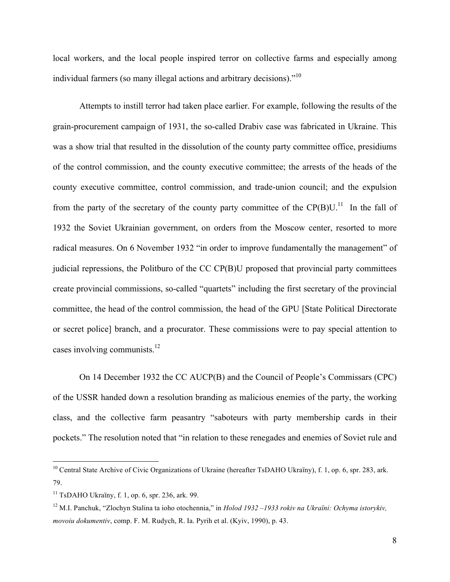local workers, and the local people inspired terror on collective farms and especially among individual farmers (so many illegal actions and arbitrary decisions)."<sup>10</sup>

Attempts to instill terror had taken place earlier. For example, following the results of the grain-procurement campaign of 1931, the so-called Drabiv case was fabricated in Ukraine. This was a show trial that resulted in the dissolution of the county party committee office, presidiums of the control commission, and the county executive committee; the arrests of the heads of the county executive committee, control commission, and trade-union council; and the expulsion from the party of the secretary of the county party committee of the CP(B)U.<sup>11</sup> In the fall of 1932 the Soviet Ukrainian government, on orders from the Moscow center, resorted to more radical measures. On 6 November 1932 "in order to improve fundamentally the management" of judicial repressions, the Politburo of the CC CP(B)U proposed that provincial party committees create provincial commissions, so-called "quartets" including the first secretary of the provincial committee, the head of the control commission, the head of the GPU [State Political Directorate or secret police] branch, and a procurator. These commissions were to pay special attention to cases involving communists. $12$ 

On 14 December 1932 the CC AUCP(B) and the Council of People's Commissars (CPC) of the USSR handed down a resolution branding as malicious enemies of the party, the working class, and the collective farm peasantry "saboteurs with party membership cards in their pockets." The resolution noted that "in relation to these renegades and enemies of Soviet rule and

<sup>&</sup>lt;sup>10</sup> Central State Archive of Civic Organizations of Ukraine (hereafter TsDAHO Ukraïny), f. 1, op. 6, spr. 283, ark. 79.

 $11$  TsDAHO Ukraïny, f. 1, op. 6, spr. 236, ark. 99.

<sup>12</sup> M.I. Panchuk, "Zlochyn Stalina ta ioho otochennia," in *Holod 1932 –1933 rokiv na Ukraïni: Ochyma istorykiv, movoiu dokumentiv*, comp. F. M. Rudych, R. Ia. Pyrih et al. (Kyiv, 1990), p. 43.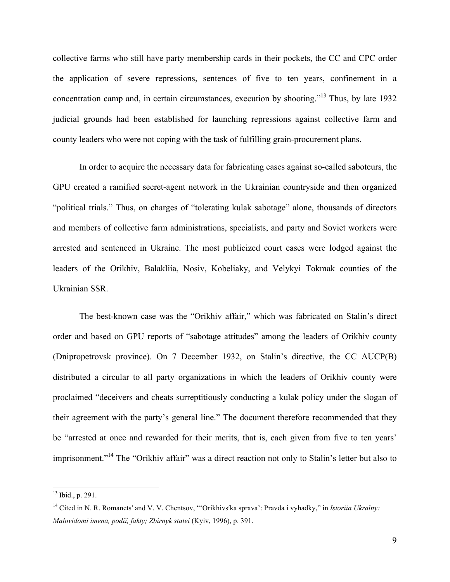collective farms who still have party membership cards in their pockets, the CC and CPC order the application of severe repressions, sentences of five to ten years, confinement in a concentration camp and, in certain circumstances, execution by shooting." <sup>13</sup> Thus, by late 1932 judicial grounds had been established for launching repressions against collective farm and county leaders who were not coping with the task of fulfilling grain-procurement plans.

In order to acquire the necessary data for fabricating cases against so-called saboteurs, the GPU created a ramified secret-agent network in the Ukrainian countryside and then organized "political trials." Thus, on charges of "tolerating kulak sabotage" alone, thousands of directors and members of collective farm administrations, specialists, and party and Soviet workers were arrested and sentenced in Ukraine. The most publicized court cases were lodged against the leaders of the Orikhiv, Balakliia, Nosiv, Kobeliaky, and Velykyi Tokmak counties of the Ukrainian SSR.

The best-known case was the "Orikhiv affair," which was fabricated on Stalin's direct order and based on GPU reports of "sabotage attitudes" among the leaders of Orikhiv county (Dnipropetrovsk province). On 7 December 1932, on Stalin's directive, the CC AUCP(B) distributed a circular to all party organizations in which the leaders of Orikhiv county were proclaimed "deceivers and cheats surreptitiously conducting a kulak policy under the slogan of their agreement with the party's general line." The document therefore recommended that they be "arrested at once and rewarded for their merits, that is, each given from five to ten years' imprisonment."<sup>14</sup> The "Orikhiv affair" was a direct reaction not only to Stalin's letter but also to

 $13$  Ibid., p. 291.

<sup>&</sup>lt;sup>14</sup> Cited in N. R. Romanets' and V. V. Chentsov, "'Orikhivs'ka sprava': Pravda i vyhadky," in *Istoriia Ukraïny: Malovidomi imena, podiï, fakty; Zbirnyk statei* (Kyiv, 1996), p. 391.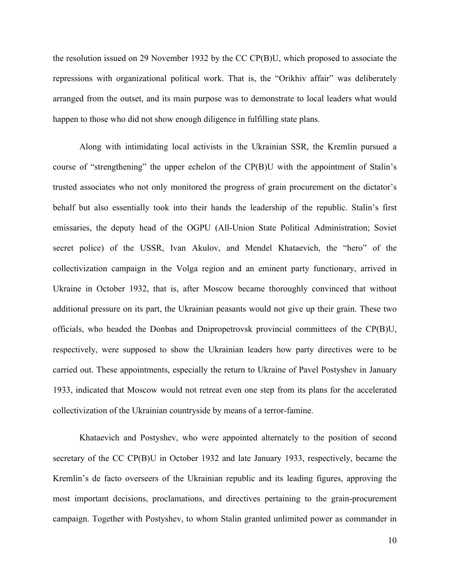the resolution issued on 29 November 1932 by the CC CP(B)U, which proposed to associate the repressions with organizational political work. That is, the "Orikhiv affair" was deliberately arranged from the outset, and its main purpose was to demonstrate to local leaders what would happen to those who did not show enough diligence in fulfilling state plans.

Along with intimidating local activists in the Ukrainian SSR, the Kremlin pursued a course of "strengthening" the upper echelon of the CP(B)U with the appointment of Stalin's trusted associates who not only monitored the progress of grain procurement on the dictator's behalf but also essentially took into their hands the leadership of the republic. Stalin's first emissaries, the deputy head of the OGPU (All-Union State Political Administration; Soviet secret police) of the USSR, Ivan Akulov, and Mendel Khataevich, the "hero" of the collectivization campaign in the Volga region and an eminent party functionary, arrived in Ukraine in October 1932, that is, after Moscow became thoroughly convinced that without additional pressure on its part, the Ukrainian peasants would not give up their grain. These two officials, who headed the Donbas and Dnipropetrovsk provincial committees of the CP(B)U, respectively, were supposed to show the Ukrainian leaders how party directives were to be carried out. These appointments, especially the return to Ukraine of Pavel Postyshev in January 1933, indicated that Moscow would not retreat even one step from its plans for the accelerated collectivization of the Ukrainian countryside by means of a terror-famine.

Khataevich and Postyshev, who were appointed alternately to the position of second secretary of the CC CP(B)U in October 1932 and late January 1933, respectively, became the Kremlin's de facto overseers of the Ukrainian republic and its leading figures, approving the most important decisions, proclamations, and directives pertaining to the grain-procurement campaign. Together with Postyshev, to whom Stalin granted unlimited power as commander in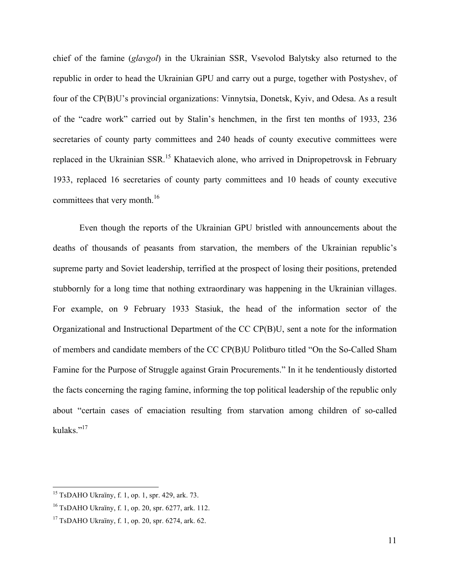chief of the famine (*glavgol*) in the Ukrainian SSR, Vsevolod Balytsky also returned to the republic in order to head the Ukrainian GPU and carry out a purge, together with Postyshev, of four of the CP(B)U's provincial organizations: Vinnytsia, Donetsk, Kyiv, and Odesa. As a result of the "cadre work" carried out by Stalin's henchmen, in the first ten months of 1933, 236 secretaries of county party committees and 240 heads of county executive committees were replaced in the Ukrainian SSR.<sup>15</sup> Khataevich alone, who arrived in Dnipropetrovsk in February 1933, replaced 16 secretaries of county party committees and 10 heads of county executive committees that very month.<sup>16</sup>

Even though the reports of the Ukrainian GPU bristled with announcements about the deaths of thousands of peasants from starvation, the members of the Ukrainian republic's supreme party and Soviet leadership, terrified at the prospect of losing their positions, pretended stubbornly for a long time that nothing extraordinary was happening in the Ukrainian villages. For example, on 9 February 1933 Stasiuk, the head of the information sector of the Organizational and Instructional Department of the CC CP(B)U, sent a note for the information of members and candidate members of the CC CP(B)U Politburo titled "On the So-Called Sham Famine for the Purpose of Struggle against Grain Procurements." In it he tendentiously distorted the facts concerning the raging famine, informing the top political leadership of the republic only about "certain cases of emaciation resulting from starvation among children of so-called kulaks."17

 $15$  TsDAHO Ukraïny, f. 1, op. 1, spr. 429, ark. 73.

<sup>16</sup> TsDAHO Ukraïny, f. 1, op. 20, spr. 6277, ark. 112.

 $17$  TsDAHO Ukraïny, f. 1, op. 20, spr. 6274, ark. 62.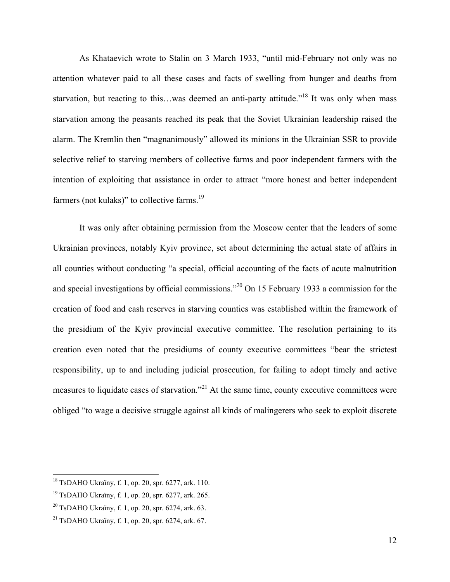As Khataevich wrote to Stalin on 3 March 1933, "until mid-February not only was no attention whatever paid to all these cases and facts of swelling from hunger and deaths from starvation, but reacting to this…was deemed an anti-party attitude."<sup>18</sup> It was only when mass starvation among the peasants reached its peak that the Soviet Ukrainian leadership raised the alarm. The Kremlin then "magnanimously" allowed its minions in the Ukrainian SSR to provide selective relief to starving members of collective farms and poor independent farmers with the intention of exploiting that assistance in order to attract "more honest and better independent farmers (not kulaks)" to collective farms.<sup>19</sup>

It was only after obtaining permission from the Moscow center that the leaders of some Ukrainian provinces, notably Kyiv province, set about determining the actual state of affairs in all counties without conducting "a special, official accounting of the facts of acute malnutrition and special investigations by official commissions."20 On 15 February 1933 a commission for the creation of food and cash reserves in starving counties was established within the framework of the presidium of the Kyiv provincial executive committee. The resolution pertaining to its creation even noted that the presidiums of county executive committees "bear the strictest responsibility, up to and including judicial prosecution, for failing to adopt timely and active measures to liquidate cases of starvation."<sup>21</sup> At the same time, county executive committees were obliged "to wage a decisive struggle against all kinds of malingerers who seek to exploit discrete

 $18$  TsDAHO Ukraïny, f. 1, op. 20, spr. 6277, ark. 110.

<sup>19</sup> TsDAHO Ukraïny, f. 1, op. 20, spr. 6277, ark. 265.

 $^{20}$  TsDAHO Ukraïny, f. 1, op. 20, spr. 6274, ark. 63.

<sup>&</sup>lt;sup>21</sup> TsDAHO Ukraïny, f. 1, op. 20, spr. 6274, ark. 67.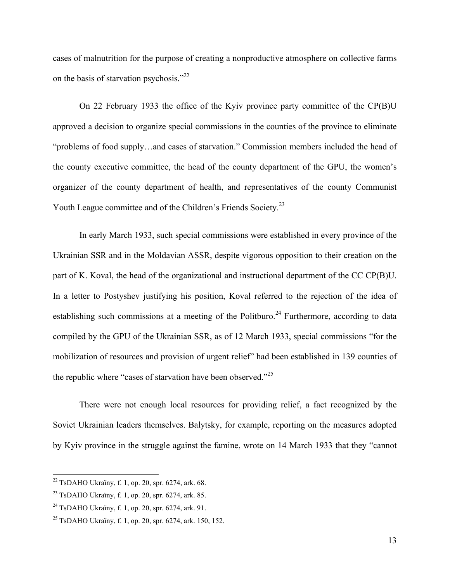cases of malnutrition for the purpose of creating a nonproductive atmosphere on collective farms on the basis of starvation psychosis."<sup>22</sup>

On 22 February 1933 the office of the Kyiv province party committee of the CP(B)U approved a decision to organize special commissions in the counties of the province to eliminate "problems of food supply…and cases of starvation." Commission members included the head of the county executive committee, the head of the county department of the GPU, the women's organizer of the county department of health, and representatives of the county Communist Youth League committee and of the Children's Friends Society.<sup>23</sup>

In early March 1933, such special commissions were established in every province of the Ukrainian SSR and in the Moldavian ASSR, despite vigorous opposition to their creation on the part of K. Koval, the head of the organizational and instructional department of the CC CP(B)U. In a letter to Postyshev justifying his position, Koval referred to the rejection of the idea of establishing such commissions at a meeting of the Politburo.<sup>24</sup> Furthermore, according to data compiled by the GPU of the Ukrainian SSR, as of 12 March 1933, special commissions "for the mobilization of resources and provision of urgent relief" had been established in 139 counties of the republic where "cases of starvation have been observed."<sup>25</sup>

There were not enough local resources for providing relief, a fact recognized by the Soviet Ukrainian leaders themselves. Balytsky, for example, reporting on the measures adopted by Kyiv province in the struggle against the famine, wrote on 14 March 1933 that they "cannot

 $^{22}$  TsDAHO Ukraïny, f. 1, op. 20, spr. 6274, ark. 68.

<sup>&</sup>lt;sup>23</sup> TsDAHO Ukraïny, f. 1, op. 20, spr. 6274, ark. 85.

<sup>&</sup>lt;sup>24</sup> TsDAHO Ukraïny, f. 1, op. 20, spr. 6274, ark. 91.

<sup>25</sup> TsDAHO Ukraïny, f. 1, op. 20, spr. 6274, ark. 150, 152.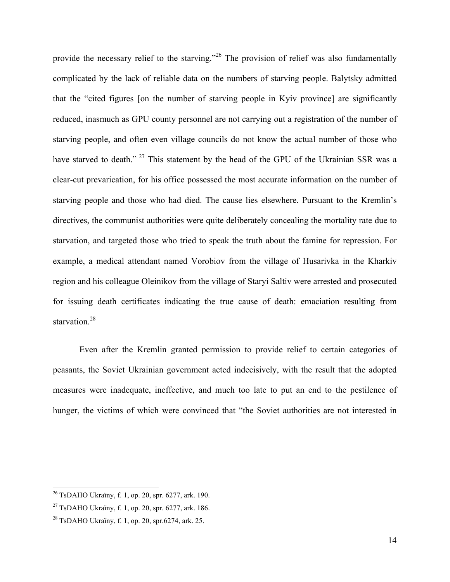provide the necessary relief to the starving."<sup>26</sup> The provision of relief was also fundamentally complicated by the lack of reliable data on the numbers of starving people. Balytsky admitted that the "cited figures [on the number of starving people in Kyiv province] are significantly reduced, inasmuch as GPU county personnel are not carrying out a registration of the number of starving people, and often even village councils do not know the actual number of those who have starved to death." <sup>27</sup> This statement by the head of the GPU of the Ukrainian SSR was a clear-cut prevarication, for his office possessed the most accurate information on the number of starving people and those who had died. The cause lies elsewhere. Pursuant to the Kremlin's directives, the communist authorities were quite deliberately concealing the mortality rate due to starvation, and targeted those who tried to speak the truth about the famine for repression. For example, a medical attendant named Vorobiov from the village of Husarivka in the Kharkiv region and his colleague Oleinikov from the village of Staryi Saltiv were arrested and prosecuted for issuing death certificates indicating the true cause of death: emaciation resulting from starvation.<sup>28</sup>

Even after the Kremlin granted permission to provide relief to certain categories of peasants, the Soviet Ukrainian government acted indecisively, with the result that the adopted measures were inadequate, ineffective, and much too late to put an end to the pestilence of hunger, the victims of which were convinced that "the Soviet authorities are not interested in

 $^{26}$  TsDAHO Ukraïny, f. 1, op. 20, spr. 6277, ark. 190.

<sup>&</sup>lt;sup>27</sup> TsDAHO Ukraïny, f. 1, op. 20, spr. 6277, ark. 186.

 $^{28}$  TsDAHO Ukraïny, f. 1, op. 20, spr.6274, ark. 25.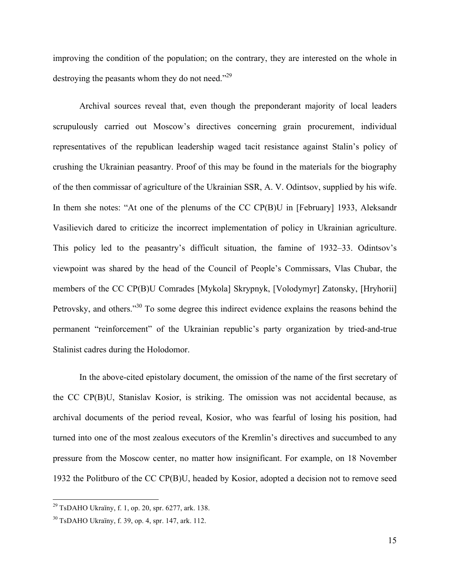improving the condition of the population; on the contrary, they are interested on the whole in destroying the peasants whom they do not need."<sup>29</sup>

Archival sources reveal that, even though the preponderant majority of local leaders scrupulously carried out Moscow's directives concerning grain procurement, individual representatives of the republican leadership waged tacit resistance against Stalin's policy of crushing the Ukrainian peasantry. Proof of this may be found in the materials for the biography of the then commissar of agriculture of the Ukrainian SSR, A. V. Odintsov, supplied by his wife. In them she notes: "At one of the plenums of the CC CP(B)U in [February] 1933, Aleksandr Vasilievich dared to criticize the incorrect implementation of policy in Ukrainian agriculture. This policy led to the peasantry's difficult situation, the famine of 1932–33. Odintsov's viewpoint was shared by the head of the Council of People's Commissars, Vlas Chubar, the members of the CC CP(B)U Comrades [Mykola] Skrypnyk, [Volodymyr] Zatonsky, [Hryhorii] Petrovsky, and others."<sup>30</sup> To some degree this indirect evidence explains the reasons behind the permanent "reinforcement" of the Ukrainian republic's party organization by tried-and-true Stalinist cadres during the Holodomor.

In the above-cited epistolary document, the omission of the name of the first secretary of the CC CP(B)U, Stanislav Kosior, is striking. The omission was not accidental because, as archival documents of the period reveal, Kosior, who was fearful of losing his position, had turned into one of the most zealous executors of the Kremlin's directives and succumbed to any pressure from the Moscow center, no matter how insignificant. For example, on 18 November 1932 the Politburo of the CC CP(B)U, headed by Kosior, adopted a decision not to remove seed

<sup>&</sup>lt;sup>29</sup> TsDAHO Ukraïny, f. 1, op. 20, spr. 6277, ark. 138.

<sup>30</sup> TsDAHO Ukraïny, f. 39, op. 4, spr. 147, ark. 112.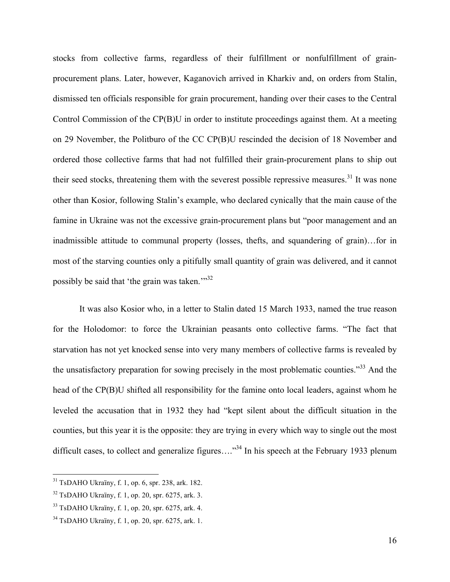stocks from collective farms, regardless of their fulfillment or nonfulfillment of grainprocurement plans. Later, however, Kaganovich arrived in Kharkiv and, on orders from Stalin, dismissed ten officials responsible for grain procurement, handing over their cases to the Central Control Commission of the CP(B)U in order to institute proceedings against them. At a meeting on 29 November, the Politburo of the CC CP(B)U rescinded the decision of 18 November and ordered those collective farms that had not fulfilled their grain-procurement plans to ship out their seed stocks, threatening them with the severest possible repressive measures.<sup>31</sup> It was none other than Kosior, following Stalin's example, who declared cynically that the main cause of the famine in Ukraine was not the excessive grain-procurement plans but "poor management and an inadmissible attitude to communal property (losses, thefts, and squandering of grain)…for in most of the starving counties only a pitifully small quantity of grain was delivered, and it cannot possibly be said that 'the grain was taken."<sup>32</sup>

It was also Kosior who, in a letter to Stalin dated 15 March 1933, named the true reason for the Holodomor: to force the Ukrainian peasants onto collective farms. "The fact that starvation has not yet knocked sense into very many members of collective farms is revealed by the unsatisfactory preparation for sowing precisely in the most problematic counties."<sup>33</sup> And the head of the CP(B)U shifted all responsibility for the famine onto local leaders, against whom he leveled the accusation that in 1932 they had "kept silent about the difficult situation in the counties, but this year it is the opposite: they are trying in every which way to single out the most difficult cases, to collect and generalize figures....<sup>34</sup> In his speech at the February 1933 plenum

 $31$  TsDAHO Ukraïny, f. 1, op. 6, spr. 238, ark. 182.

 $32$  TsDAHO Ukraïny, f. 1, op. 20, spr. 6275, ark. 3.

<sup>33</sup> TsDAHO Ukraïny, f. 1, op. 20, spr. 6275, ark. 4.

<sup>34</sup> TsDAHO Ukraïny, f. 1, op. 20, spr. 6275, ark. 1.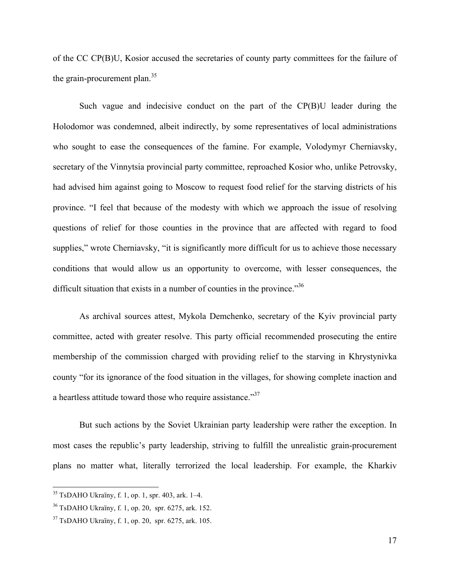of the CC CP(B)U, Kosior accused the secretaries of county party committees for the failure of the grain-procurement plan. $35$ 

Such vague and indecisive conduct on the part of the CP(B)U leader during the Holodomor was condemned, albeit indirectly, by some representatives of local administrations who sought to ease the consequences of the famine. For example, Volodymyr Cherniavsky, secretary of the Vinnytsia provincial party committee, reproached Kosior who, unlike Petrovsky, had advised him against going to Moscow to request food relief for the starving districts of his province. "I feel that because of the modesty with which we approach the issue of resolving questions of relief for those counties in the province that are affected with regard to food supplies," wrote Cherniavsky, "it is significantly more difficult for us to achieve those necessary conditions that would allow us an opportunity to overcome, with lesser consequences, the difficult situation that exists in a number of counties in the province.<sup>356</sup>

As archival sources attest, Mykola Demchenko, secretary of the Kyiv provincial party committee, acted with greater resolve. This party official recommended prosecuting the entire membership of the commission charged with providing relief to the starving in Khrystynivka county "for its ignorance of the food situation in the villages, for showing complete inaction and a heartless attitude toward those who require assistance."<sup>37</sup>

But such actions by the Soviet Ukrainian party leadership were rather the exception. In most cases the republic's party leadership, striving to fulfill the unrealistic grain-procurement plans no matter what, literally terrorized the local leadership. For example, the Kharkiv

 $35$  TsDAHO Ukraïny, f. 1, op. 1, spr. 403, ark. 1–4.

<sup>36</sup> TsDAHO Ukraïny, f. 1, op. 20, spr. 6275, ark. 152.

<sup>37</sup> TsDAHO Ukraïny, f. 1, op. 20, spr. 6275, ark. 105.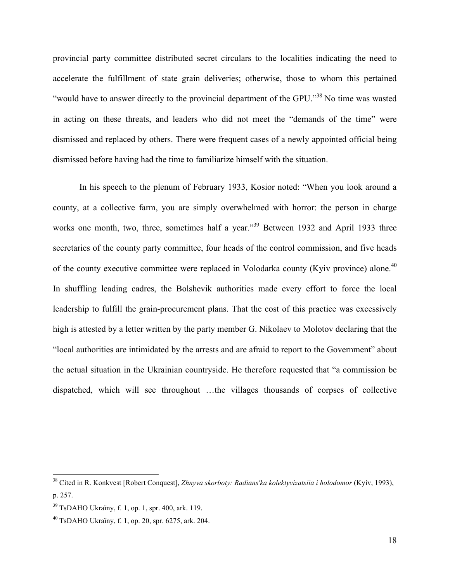provincial party committee distributed secret circulars to the localities indicating the need to accelerate the fulfillment of state grain deliveries; otherwise, those to whom this pertained "would have to answer directly to the provincial department of the GPU."38 No time was wasted in acting on these threats, and leaders who did not meet the "demands of the time" were dismissed and replaced by others. There were frequent cases of a newly appointed official being dismissed before having had the time to familiarize himself with the situation.

In his speech to the plenum of February 1933, Kosior noted: "When you look around a county, at a collective farm, you are simply overwhelmed with horror: the person in charge works one month, two, three, sometimes half a year.<sup>39</sup> Between 1932 and April 1933 three secretaries of the county party committee, four heads of the control commission, and five heads of the county executive committee were replaced in Volodarka county (Kyiv province) alone.<sup>40</sup> In shuffling leading cadres, the Bolshevik authorities made every effort to force the local leadership to fulfill the grain-procurement plans. That the cost of this practice was excessively high is attested by a letter written by the party member G. Nikolaev to Molotov declaring that the "local authorities are intimidated by the arrests and are afraid to report to the Government" about the actual situation in the Ukrainian countryside. He therefore requested that "a commission be dispatched, which will see throughout …the villages thousands of corpses of collective

 <sup>38</sup> Cited in R. Konkvest [Robert Conquest], *Zhnyva skorboty: Radians′ka kolektyvizatsiia i holodomor* (Kyiv, 1993), p. 257.

 $39$  TsDAHO Ukraïny, f. 1, op. 1, spr. 400, ark. 119.

<sup>40</sup> TsDAHO Ukraïny, f. 1, op. 20, spr. 6275, ark. 204.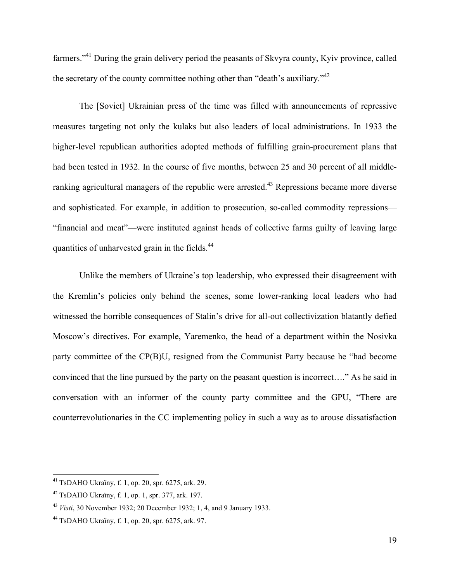farmers."41 During the grain delivery period the peasants of Skvyra county, Kyiv province, called the secretary of the county committee nothing other than "death's auxiliary."<sup>42</sup>

The [Soviet] Ukrainian press of the time was filled with announcements of repressive measures targeting not only the kulaks but also leaders of local administrations. In 1933 the higher-level republican authorities adopted methods of fulfilling grain-procurement plans that had been tested in 1932. In the course of five months, between 25 and 30 percent of all middleranking agricultural managers of the republic were arrested.<sup>43</sup> Repressions became more diverse and sophisticated. For example, in addition to prosecution, so-called commodity repressions— "financial and meat"—were instituted against heads of collective farms guilty of leaving large quantities of unharvested grain in the fields.<sup>44</sup>

Unlike the members of Ukraine's top leadership, who expressed their disagreement with the Kremlin's policies only behind the scenes, some lower-ranking local leaders who had witnessed the horrible consequences of Stalin's drive for all-out collectivization blatantly defied Moscow's directives. For example, Yaremenko, the head of a department within the Nosivka party committee of the CP(B)U, resigned from the Communist Party because he "had become convinced that the line pursued by the party on the peasant question is incorrect…." As he said in conversation with an informer of the county party committee and the GPU, "There are counterrevolutionaries in the CC implementing policy in such a way as to arouse dissatisfaction

 <sup>41</sup> TsDAHO Ukraïny, f. 1, op. 20, spr. 6275, ark. 29.

 $42$  TsDAHO Ukraïny, f. 1, op. 1, spr. 377, ark. 197.

<sup>43</sup> *Visti*, 30 November 1932; 20 December 1932; 1, 4, and 9 January 1933.

<sup>44</sup> TsDAHO Ukraïny, f. 1, op. 20, spr. 6275, ark. 97.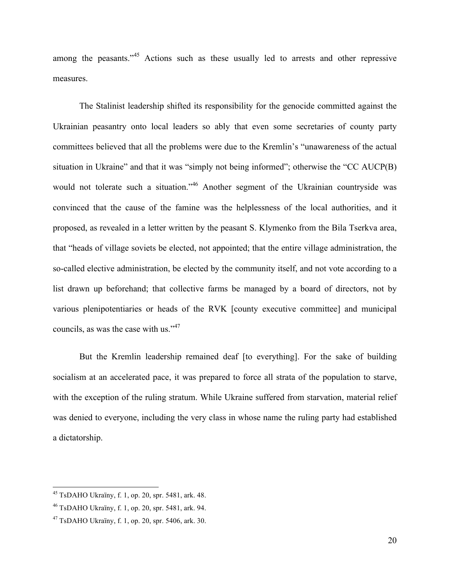among the peasants."<sup>45</sup> Actions such as these usually led to arrests and other repressive measures.

The Stalinist leadership shifted its responsibility for the genocide committed against the Ukrainian peasantry onto local leaders so ably that even some secretaries of county party committees believed that all the problems were due to the Kremlin's "unawareness of the actual situation in Ukraine" and that it was "simply not being informed"; otherwise the "CC AUCP(B) would not tolerate such a situation."<sup>46</sup> Another segment of the Ukrainian countryside was convinced that the cause of the famine was the helplessness of the local authorities, and it proposed, as revealed in a letter written by the peasant S. Klymenko from the Bila Tserkva area, that "heads of village soviets be elected, not appointed; that the entire village administration, the so-called elective administration, be elected by the community itself, and not vote according to a list drawn up beforehand; that collective farms be managed by a board of directors, not by various plenipotentiaries or heads of the RVK [county executive committee] and municipal councils, as was the case with us."<sup>47</sup>

But the Kremlin leadership remained deaf [to everything]. For the sake of building socialism at an accelerated pace, it was prepared to force all strata of the population to starve, with the exception of the ruling stratum. While Ukraine suffered from starvation, material relief was denied to everyone, including the very class in whose name the ruling party had established a dictatorship.

 $45$  TsDAHO Ukraïny, f. 1, op. 20, spr. 5481, ark. 48.

<sup>46</sup> TsDAHO Ukraïny, f. 1, op. 20, spr. 5481, ark. 94.

 $47$  TsDAHO Ukraïny, f. 1, op. 20, spr. 5406, ark. 30.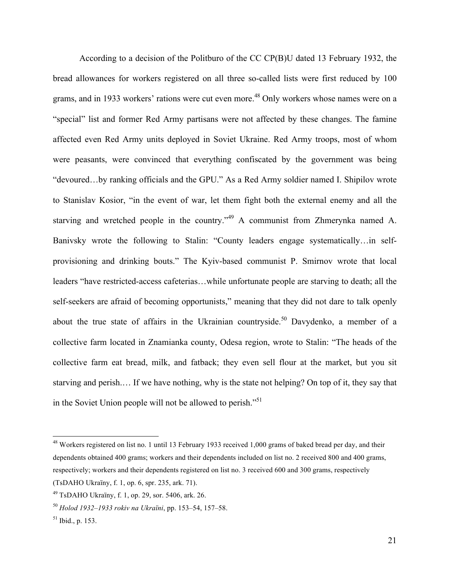According to a decision of the Politburo of the CC CP(B)U dated 13 February 1932, the bread allowances for workers registered on all three so-called lists were first reduced by 100 grams, and in 1933 workers' rations were cut even more.<sup>48</sup> Only workers whose names were on a "special" list and former Red Army partisans were not affected by these changes. The famine affected even Red Army units deployed in Soviet Ukraine. Red Army troops, most of whom were peasants, were convinced that everything confiscated by the government was being "devoured…by ranking officials and the GPU." As a Red Army soldier named I. Shipilov wrote to Stanislav Kosior, "in the event of war, let them fight both the external enemy and all the starving and wretched people in the country."<sup>49</sup> A communist from Zhmerynka named A. Banivsky wrote the following to Stalin: "County leaders engage systematically…in selfprovisioning and drinking bouts." The Kyiv-based communist P. Smirnov wrote that local leaders "have restricted-access cafeterias…while unfortunate people are starving to death; all the self-seekers are afraid of becoming opportunists," meaning that they did not dare to talk openly about the true state of affairs in the Ukrainian countryside.<sup>50</sup> Davydenko, a member of a collective farm located in Znamianka county, Odesa region, wrote to Stalin: "The heads of the collective farm eat bread, milk, and fatback; they even sell flour at the market, but you sit starving and perish.… If we have nothing, why is the state not helping? On top of it, they say that in the Soviet Union people will not be allowed to perish."<sup>51</sup>

 $48$  Workers registered on list no. 1 until 13 February 1933 received 1,000 grams of baked bread per day, and their dependents obtained 400 grams; workers and their dependents included on list no. 2 received 800 and 400 grams, respectively; workers and their dependents registered on list no. 3 received 600 and 300 grams, respectively (TsDAHO Ukraïny, f. 1, op. 6, spr. 235, ark. 71).

<sup>49</sup> TsDAHO Ukraïny, f. 1, op. 29, sor. 5406, ark. 26.

<sup>50</sup> *Holod 1932–1933 rokiv na Ukraïni*, pp. 153–54, 157–58.

 $51$  Ibid., p. 153.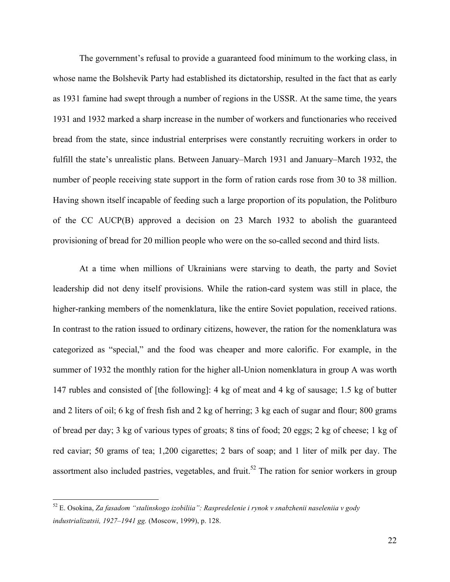The government's refusal to provide a guaranteed food minimum to the working class, in whose name the Bolshevik Party had established its dictatorship, resulted in the fact that as early as 1931 famine had swept through a number of regions in the USSR. At the same time, the years 1931 and 1932 marked a sharp increase in the number of workers and functionaries who received bread from the state, since industrial enterprises were constantly recruiting workers in order to fulfill the state's unrealistic plans. Between January–March 1931 and January–March 1932, the number of people receiving state support in the form of ration cards rose from 30 to 38 million. Having shown itself incapable of feeding such a large proportion of its population, the Politburo of the CC AUCP(B) approved a decision on 23 March 1932 to abolish the guaranteed provisioning of bread for 20 million people who were on the so-called second and third lists.

At a time when millions of Ukrainians were starving to death, the party and Soviet leadership did not deny itself provisions. While the ration-card system was still in place, the higher-ranking members of the nomenklatura, like the entire Soviet population, received rations. In contrast to the ration issued to ordinary citizens, however, the ration for the nomenklatura was categorized as "special," and the food was cheaper and more calorific. For example, in the summer of 1932 the monthly ration for the higher all-Union nomenklatura in group A was worth 147 rubles and consisted of [the following]: 4 kg of meat and 4 kg of sausage; 1.5 kg of butter and 2 liters of oil; 6 kg of fresh fish and 2 kg of herring; 3 kg each of sugar and flour; 800 grams of bread per day; 3 kg of various types of groats; 8 tins of food; 20 eggs; 2 kg of cheese; 1 kg of red caviar; 50 grams of tea; 1,200 cigarettes; 2 bars of soap; and 1 liter of milk per day. The assortment also included pastries, vegetables, and fruit.<sup>52</sup> The ration for senior workers in group

 <sup>52</sup> E. Osokina, *Za fasadom "stalinskogo izobiliia": Raspredelenie i rynok v snabzhenii naseleniia v gody industrializatsii, 1927–1941 gg.* (Moscow, 1999), p. 128.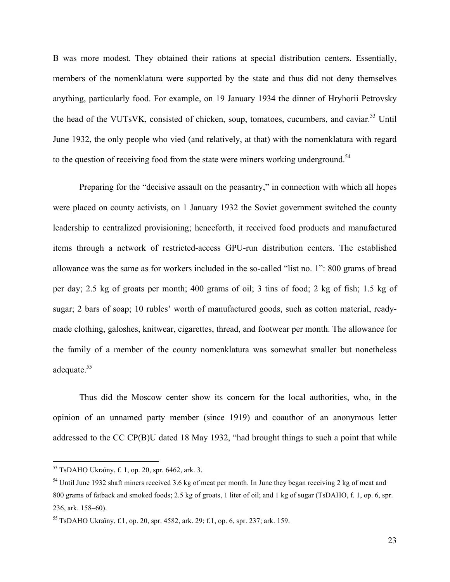B was more modest. They obtained their rations at special distribution centers. Essentially, members of the nomenklatura were supported by the state and thus did not deny themselves anything, particularly food. For example, on 19 January 1934 the dinner of Hryhorii Petrovsky the head of the VUTsVK, consisted of chicken, soup, tomatoes, cucumbers, and caviar. <sup>53</sup> Until June 1932, the only people who vied (and relatively, at that) with the nomenklatura with regard to the question of receiving food from the state were miners working underground.<sup>54</sup>

Preparing for the "decisive assault on the peasantry," in connection with which all hopes were placed on county activists, on 1 January 1932 the Soviet government switched the county leadership to centralized provisioning; henceforth, it received food products and manufactured items through a network of restricted-access GPU-run distribution centers. The established allowance was the same as for workers included in the so-called "list no. 1": 800 grams of bread per day; 2.5 kg of groats per month; 400 grams of oil; 3 tins of food; 2 kg of fish; 1.5 kg of sugar; 2 bars of soap; 10 rubles' worth of manufactured goods, such as cotton material, readymade clothing, galoshes, knitwear, cigarettes, thread, and footwear per month. The allowance for the family of a member of the county nomenklatura was somewhat smaller but nonetheless adequate. 55

Thus did the Moscow center show its concern for the local authorities, who, in the opinion of an unnamed party member (since 1919) and coauthor of an anonymous letter addressed to the CC CP(B)U dated 18 May 1932, "had brought things to such a point that while

 <sup>53</sup> TsDAHO Ukraïny, f. 1, op. 20, spr. 6462, ark. 3.

 $54$  Until June 1932 shaft miners received 3.6 kg of meat per month. In June they began receiving 2 kg of meat and 800 grams of fatback and smoked foods; 2.5 kg of groats, 1 liter of oil; and 1 kg of sugar (TsDAHO, f. 1, op. 6, spr. 236, ark. 158–60).

<sup>55</sup> TsDAHO Ukraïny, f.1, op. 20, spr. 4582, ark. 29; f.1, op. 6, spr. 237; ark. 159.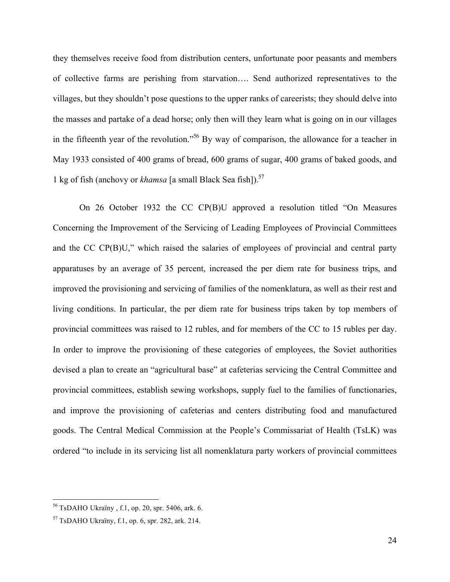they themselves receive food from distribution centers, unfortunate poor peasants and members of collective farms are perishing from starvation…. Send authorized representatives to the villages, but they shouldn't pose questions to the upper ranks of careerists; they should delve into the masses and partake of a dead horse; only then will they learn what is going on in our villages in the fifteenth year of the revolution."56 By way of comparison, the allowance for a teacher in May 1933 consisted of 400 grams of bread, 600 grams of sugar, 400 grams of baked goods, and 1 kg of fish (anchovy or *khamsa* [a small Black Sea fish]).<sup>57</sup>

On 26 October 1932 the CC CP(B)U approved a resolution titled "On Measures Concerning the Improvement of the Servicing of Leading Employees of Provincial Committees and the CC CP(B)U," which raised the salaries of employees of provincial and central party apparatuses by an average of 35 percent, increased the per diem rate for business trips, and improved the provisioning and servicing of families of the nomenklatura, as well as their rest and living conditions. In particular, the per diem rate for business trips taken by top members of provincial committees was raised to 12 rubles, and for members of the CC to 15 rubles per day. In order to improve the provisioning of these categories of employees, the Soviet authorities devised a plan to create an "agricultural base" at cafeterias servicing the Central Committee and provincial committees, establish sewing workshops, supply fuel to the families of functionaries, and improve the provisioning of cafeterias and centers distributing food and manufactured goods. The Central Medical Commission at the People's Commissariat of Health (TsLK) was ordered "to include in its servicing list all nomenklatura party workers of provincial committees

 <sup>56</sup> TsDAHO Ukraïny , f.1, op. 20, spr. 5406, ark. 6.

 $57$  TsDAHO Ukraïny, f.1, op. 6, spr. 282, ark. 214.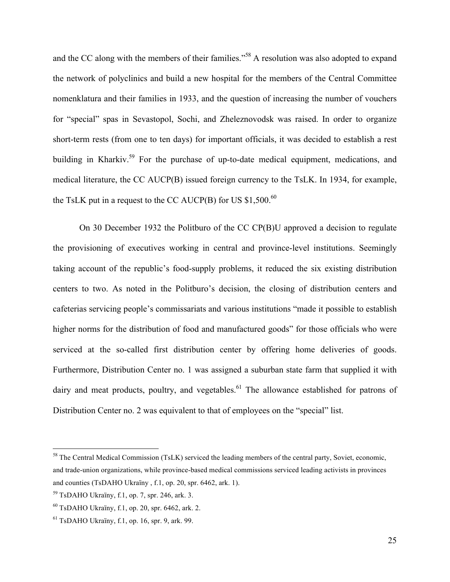and the CC along with the members of their families."<sup>58</sup> A resolution was also adopted to expand the network of polyclinics and build a new hospital for the members of the Central Committee nomenklatura and their families in 1933, and the question of increasing the number of vouchers for "special" spas in Sevastopol, Sochi, and Zheleznovodsk was raised. In order to organize short-term rests (from one to ten days) for important officials, it was decided to establish a rest building in Kharkiv.<sup>59</sup> For the purchase of up-to-date medical equipment, medications, and medical literature, the CC AUCP(B) issued foreign currency to the TsLK. In 1934, for example, the TsLK put in a request to the CC AUCP(B) for US  $$1,500$ .<sup>60</sup>

On 30 December 1932 the Politburo of the CC CP(B)U approved a decision to regulate the provisioning of executives working in central and province-level institutions. Seemingly taking account of the republic's food-supply problems, it reduced the six existing distribution centers to two. As noted in the Politburo's decision, the closing of distribution centers and cafeterias servicing people's commissariats and various institutions "made it possible to establish higher norms for the distribution of food and manufactured goods" for those officials who were serviced at the so-called first distribution center by offering home deliveries of goods. Furthermore, Distribution Center no. 1 was assigned a suburban state farm that supplied it with dairy and meat products, poultry, and vegetables.<sup>61</sup> The allowance established for patrons of Distribution Center no. 2 was equivalent to that of employees on the "special" list.

<sup>&</sup>lt;sup>58</sup> The Central Medical Commission (TsLK) serviced the leading members of the central party, Soviet, economic, and trade-union organizations, while province-based medical commissions serviced leading activists in provinces and counties (TsDAHO Ukraïny , f.1, op. 20, spr. 6462, ark. 1).

<sup>59</sup> TsDAHO Ukraïny, f.1, op. 7, spr. 246, ark. 3.

 $^{60}$  TsDAHO Ukraïny, f.1, op. 20, spr. 6462, ark. 2.

 $<sup>61</sup>$  TsDAHO Ukraïny, f.1, op. 16, spr. 9, ark. 99.</sup>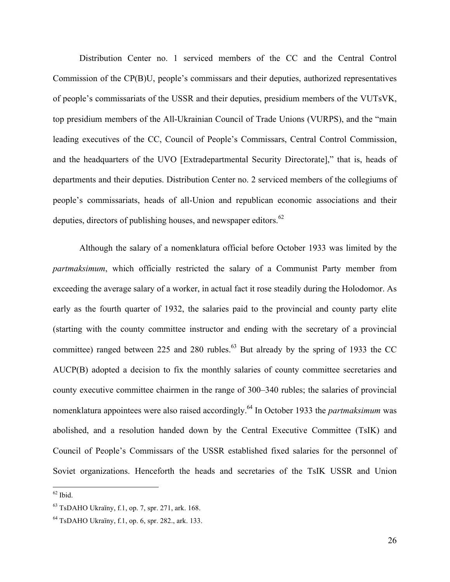Distribution Center no. 1 serviced members of the CC and the Central Control Commission of the CP(B)U, people's commissars and their deputies, authorized representatives of people's commissariats of the USSR and their deputies, presidium members of the VUTsVK, top presidium members of the All-Ukrainian Council of Trade Unions (VURPS), and the "main leading executives of the CC, Council of People's Commissars, Central Control Commission, and the headquarters of the UVO [Extradepartmental Security Directorate]," that is, heads of departments and their deputies. Distribution Center no. 2 serviced members of the collegiums of people's commissariats, heads of all-Union and republican economic associations and their deputies, directors of publishing houses, and newspaper editors. $62$ 

Although the salary of a nomenklatura official before October 1933 was limited by the *partmaksimum*, which officially restricted the salary of a Communist Party member from exceeding the average salary of a worker, in actual fact it rose steadily during the Holodomor. As early as the fourth quarter of 1932, the salaries paid to the provincial and county party elite (starting with the county committee instructor and ending with the secretary of a provincial committee) ranged between 225 and 280 rubles.<sup>63</sup> But already by the spring of 1933 the CC AUCP(B) adopted a decision to fix the monthly salaries of county committee secretaries and county executive committee chairmen in the range of 300–340 rubles; the salaries of provincial nomenklatura appointees were also raised accordingly.64 In October 1933 the *partmaksimum* was abolished, and a resolution handed down by the Central Executive Committee (TsIK) and Council of People's Commissars of the USSR established fixed salaries for the personnel of Soviet organizations. Henceforth the heads and secretaries of the TsIK USSR and Union

 $62$  Ibid.

 $^{63}$  TsDAHO Ukraïny, f.1, op. 7, spr. 271, ark. 168.

<sup>64</sup> TsDAHO Ukraïny, f.1, op. 6, spr. 282., ark. 133.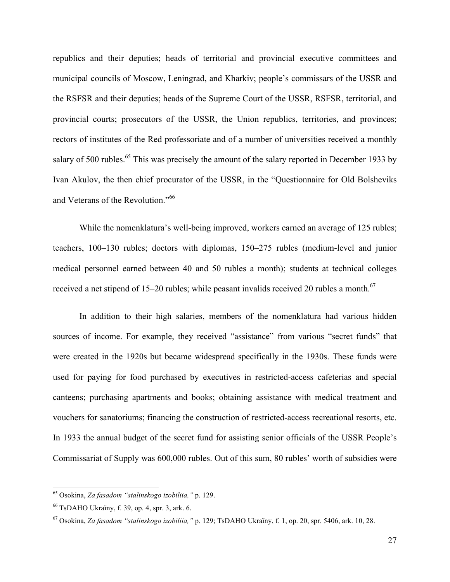republics and their deputies; heads of territorial and provincial executive committees and municipal councils of Moscow, Leningrad, and Kharkiv; people's commissars of the USSR and the RSFSR and their deputies; heads of the Supreme Court of the USSR, RSFSR, territorial, and provincial courts; prosecutors of the USSR, the Union republics, territories, and provinces; rectors of institutes of the Red professoriate and of a number of universities received a monthly salary of 500 rubles.<sup>65</sup> This was precisely the amount of the salary reported in December 1933 by Ivan Akulov, the then chief procurator of the USSR, in the "Questionnaire for Old Bolsheviks and Veterans of the Revolution."<sup>66</sup>

While the nomenklatura's well-being improved, workers earned an average of 125 rubles; teachers, 100–130 rubles; doctors with diplomas, 150–275 rubles (medium-level and junior medical personnel earned between 40 and 50 rubles a month); students at technical colleges received a net stipend of 15–20 rubles; while peasant invalids received 20 rubles a month.<sup>67</sup>

In addition to their high salaries, members of the nomenklatura had various hidden sources of income. For example, they received "assistance" from various "secret funds" that were created in the 1920s but became widespread specifically in the 1930s. These funds were used for paying for food purchased by executives in restricted-access cafeterias and special canteens; purchasing apartments and books; obtaining assistance with medical treatment and vouchers for sanatoriums; financing the construction of restricted-access recreational resorts, etc. In 1933 the annual budget of the secret fund for assisting senior officials of the USSR People's Commissariat of Supply was 600,000 rubles. Out of this sum, 80 rubles' worth of subsidies were

 <sup>65</sup> Osokina, *Za fasadom "stalinskogo izobiliia,"* p. 129.

<sup>66</sup> TsDAHO Ukraïny, f. 39, op. 4, spr. 3, ark. 6.

<sup>67</sup> Osokina, *Za fasadom "stalinskogo izobiliia,"* p. 129; TsDAHO Ukraïny, f. 1, op. 20, spr. 5406, ark. 10, 28.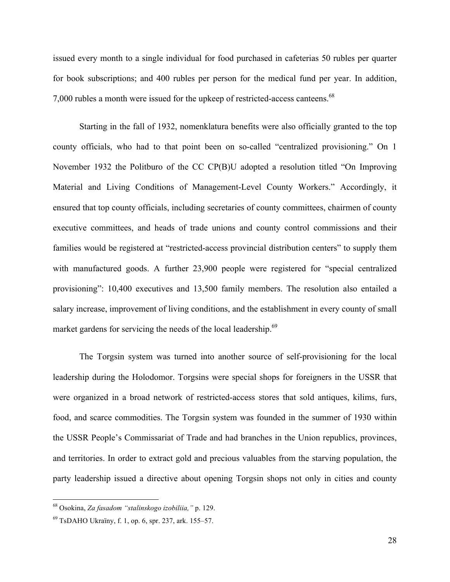issued every month to a single individual for food purchased in cafeterias 50 rubles per quarter for book subscriptions; and 400 rubles per person for the medical fund per year. In addition, 7,000 rubles a month were issued for the upkeep of restricted-access canteens.<sup>68</sup>

Starting in the fall of 1932, nomenklatura benefits were also officially granted to the top county officials, who had to that point been on so-called "centralized provisioning." On 1 November 1932 the Politburo of the CC CP(B)U adopted a resolution titled "On Improving Material and Living Conditions of Management-Level County Workers." Accordingly, it ensured that top county officials, including secretaries of county committees, chairmen of county executive committees, and heads of trade unions and county control commissions and their families would be registered at "restricted-access provincial distribution centers" to supply them with manufactured goods. A further 23,900 people were registered for "special centralized provisioning": 10,400 executives and 13,500 family members. The resolution also entailed a salary increase, improvement of living conditions, and the establishment in every county of small market gardens for servicing the needs of the local leadership.<sup>69</sup>

The Torgsin system was turned into another source of self-provisioning for the local leadership during the Holodomor. Torgsins were special shops for foreigners in the USSR that were organized in a broad network of restricted-access stores that sold antiques, kilims, furs, food, and scarce commodities. The Torgsin system was founded in the summer of 1930 within the USSR People's Commissariat of Trade and had branches in the Union republics, provinces, and territories. In order to extract gold and precious valuables from the starving population, the party leadership issued a directive about opening Torgsin shops not only in cities and county

 <sup>68</sup> Osokina, *Za fasadom "stalinskogo izobiliia,"* p. 129.

 $^{69}$  TsDAHO Ukraïny, f. 1, op. 6, spr. 237, ark. 155–57.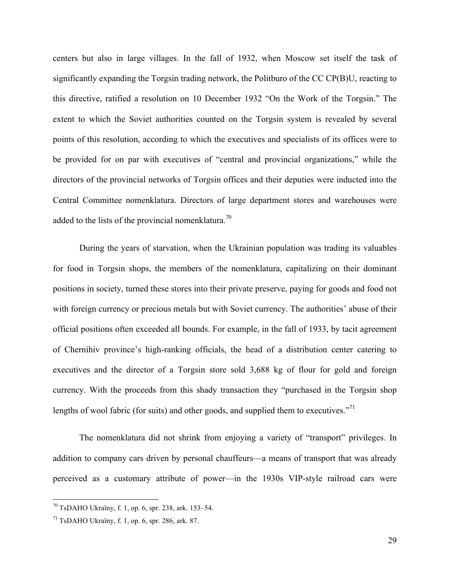centers but also in large villages. In the fall of 1932, when Moscow set itself the task of significantly expanding the Torgsin trading network, the Politburo of the CC CP(B)U, reacting to this directive, ratified a resolution on 10 December 1932 "On the Work of the Torgsin." The extent to which the Soviet authorities counted on the Torgsin system is revealed by several points of this resolution, according to which the executives and specialists of its offices were to be provided for on par with executives of "central and provincial organizations," while the directors of the provincial networks of Torgsin offices and their deputies were inducted into the Central Committee nomenklatura. Directors of large department stores and warehouses were added to the lists of the provincial nomenklatura.<sup>70</sup>

During the years of starvation, when the Ukrainian population was trading its valuables for food in Torgsin shops, the members of the nomenklatura, capitalizing on their dominant positions in society, turned these stores into their private preserve, paying for goods and food not with foreign currency or precious metals but with Soviet currency. The authorities' abuse of their official positions often exceeded all bounds. For example, in the fall of 1933, by tacit agreement of Chernihiv province's high-ranking officials, the head of a distribution center catering to executives and the director of a Torgsin store sold 3,688 kg of flour for gold and foreign currency. With the proceeds from this shady transaction they "purchased in the Torgsin shop lengths of wool fabric (for suits) and other goods, and supplied them to executives."<sup>71</sup>

The nomenklatura did not shrink from enjoying a variety of "transport" privileges. In addition to company cars driven by personal chauffeurs—a means of transport that was already perceived as a customary attribute of power—in the 1930s VIP-style railroad cars were

 $70$  TsDAHO Ukraïny, f. 1, op. 6, spr. 238, ark. 153–54.

 $71$  TsDAHO Ukraïny, f. 1, op. 6, spr. 286, ark. 87.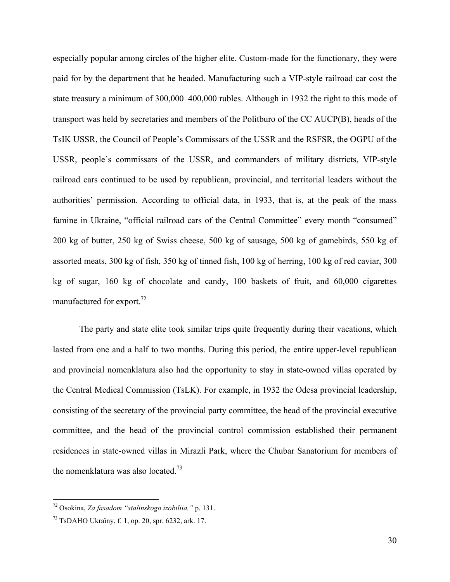especially popular among circles of the higher elite. Custom-made for the functionary, they were paid for by the department that he headed. Manufacturing such a VIP-style railroad car cost the state treasury a minimum of 300,000–400,000 rubles. Although in 1932 the right to this mode of transport was held by secretaries and members of the Politburo of the CC AUCP(B), heads of the TsIK USSR, the Council of People's Commissars of the USSR and the RSFSR, the OGPU of the USSR, people's commissars of the USSR, and commanders of military districts, VIP-style railroad cars continued to be used by republican, provincial, and territorial leaders without the authorities' permission. According to official data, in 1933, that is, at the peak of the mass famine in Ukraine, "official railroad cars of the Central Committee" every month "consumed" 200 kg of butter, 250 kg of Swiss cheese, 500 kg of sausage, 500 kg of gamebirds, 550 kg of assorted meats, 300 kg of fish, 350 kg of tinned fish, 100 kg of herring, 100 kg of red caviar, 300 kg of sugar, 160 kg of chocolate and candy, 100 baskets of fruit, and 60,000 cigarettes manufactured for export.<sup>72</sup>

The party and state elite took similar trips quite frequently during their vacations, which lasted from one and a half to two months. During this period, the entire upper-level republican and provincial nomenklatura also had the opportunity to stay in state-owned villas operated by the Central Medical Commission (TsLK). For example, in 1932 the Odesa provincial leadership, consisting of the secretary of the provincial party committee, the head of the provincial executive committee, and the head of the provincial control commission established their permanent residences in state-owned villas in Mirazli Park, where the Chubar Sanatorium for members of the nomenklatura was also located.<sup>73</sup>

 <sup>72</sup> Osokina, *Za fasadom "stalinskogo izobiliia,"* p. 131.

 $^{73}$  TsDAHO Ukraïny, f. 1, op. 20, spr. 6232, ark. 17.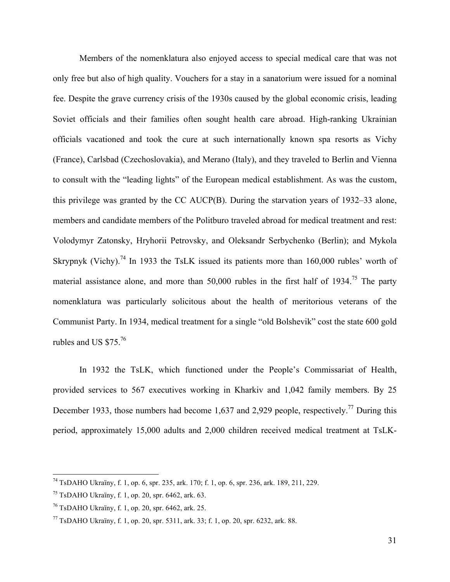Members of the nomenklatura also enjoyed access to special medical care that was not only free but also of high quality. Vouchers for a stay in a sanatorium were issued for a nominal fee. Despite the grave currency crisis of the 1930s caused by the global economic crisis, leading Soviet officials and their families often sought health care abroad. High-ranking Ukrainian officials vacationed and took the cure at such internationally known spa resorts as Vichy (France), Carlsbad (Czechoslovakia), and Merano (Italy), and they traveled to Berlin and Vienna to consult with the "leading lights" of the European medical establishment. As was the custom, this privilege was granted by the CC AUCP(B). During the starvation years of 1932–33 alone, members and candidate members of the Politburo traveled abroad for medical treatment and rest: Volodymyr Zatonsky, Hryhorii Petrovsky, and Oleksandr Serbychenko (Berlin); and Mykola Skrypnyk (Vichy).<sup>74</sup> In 1933 the TsLK issued its patients more than  $160,000$  rubles' worth of material assistance alone, and more than  $50,000$  rubles in the first half of  $1934$ .<sup>75</sup> The party nomenklatura was particularly solicitous about the health of meritorious veterans of the Communist Party. In 1934, medical treatment for a single "old Bolshevik" cost the state 600 gold rubles and US \$75.76

In 1932 the TsLK, which functioned under the People's Commissariat of Health, provided services to 567 executives working in Kharkiv and 1,042 family members. By 25 December 1933, those numbers had become 1,637 and 2,929 people, respectively.<sup>77</sup> During this period, approximately 15,000 adults and 2,000 children received medical treatment at TsLK-

 <sup>74</sup> TsDAHO Ukraïny, f. 1, op. 6, spr. 235, ark. 170; f. 1, op. 6, spr. 236, ark. 189, 211, 229.

 $75$  TsDAHO Ukraïny, f. 1, op. 20, spr. 6462, ark. 63.

 $^{76}$  TsDAHO Ukraïny, f. 1, op. 20, spr. 6462, ark. 25.

 $^{77}$  TsDAHO Ukraïny, f. 1, op. 20, spr. 5311, ark. 33; f. 1, op. 20, spr. 6232, ark. 88.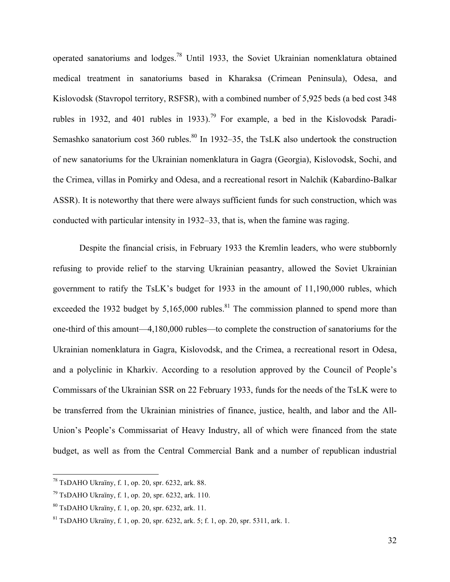operated sanatoriums and lodges.<sup>78</sup> Until 1933, the Soviet Ukrainian nomenklatura obtained medical treatment in sanatoriums based in Kharaksa (Crimean Peninsula), Odesa, and Kislovodsk (Stavropol territory, RSFSR), with a combined number of 5,925 beds (a bed cost 348 rubles in 1932, and 401 rubles in 1933).<sup>79</sup> For example, a bed in the Kislovodsk Paradi-Semashko sanatorium cost  $360$  rubles.<sup>80</sup> In 1932–35, the TsLK also undertook the construction of new sanatoriums for the Ukrainian nomenklatura in Gagra (Georgia), Kislovodsk, Sochi, and the Crimea, villas in Pomirky and Odesa, and a recreational resort in Nalchik (Kabardino-Balkar ASSR). It is noteworthy that there were always sufficient funds for such construction, which was conducted with particular intensity in 1932–33, that is, when the famine was raging.

Despite the financial crisis, in February 1933 the Kremlin leaders, who were stubbornly refusing to provide relief to the starving Ukrainian peasantry, allowed the Soviet Ukrainian government to ratify the TsLK's budget for 1933 in the amount of 11,190,000 rubles, which exceeded the 1932 budget by  $5.165,000$  rubles.<sup>81</sup> The commission planned to spend more than one-third of this amount—4,180,000 rubles—to complete the construction of sanatoriums for the Ukrainian nomenklatura in Gagra, Kislovodsk, and the Crimea, a recreational resort in Odesa, and a polyclinic in Kharkiv. According to a resolution approved by the Council of People's Commissars of the Ukrainian SSR on 22 February 1933, funds for the needs of the TsLK were to be transferred from the Ukrainian ministries of finance, justice, health, and labor and the All-Union's People's Commissariat of Heavy Industry, all of which were financed from the state budget, as well as from the Central Commercial Bank and a number of republican industrial

 $78$  TsDAHO Ukraïny, f. 1, op. 20, spr. 6232, ark. 88.

 $^{79}$  TsDAHO Ukraïny, f. 1, op. 20, spr. 6232, ark. 110.

<sup>80</sup> TsDAHO Ukraïny, f. 1, op. 20, spr. 6232, ark. 11.

 $81$  TsDAHO Ukraïny, f. 1, op. 20, spr. 6232, ark. 5; f. 1, op. 20, spr. 5311, ark. 1.